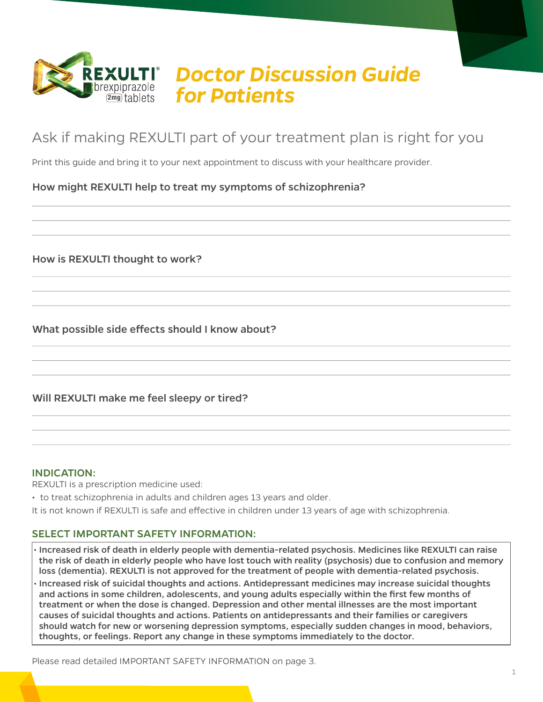

# Ask if making REXULTI part of your treatment plan is right for you

Print this guide and bring it to your next appointment to discuss with your healthcare provider.

## How might REXULTI help to treat my symptoms of schizophrenia?

How is REXULTI thought to work?

What possible side effects should I know about?

### Will REXULTI make me feel sleepy or tired?

#### INDICATION:

REXULTI is a prescription medicine used:

• to treat schizophrenia in adults and children ages 13 years and older.

It is not known if REXULTI is safe and effective in children under 13 years of age with schizophrenia.

#### SELECT IMPORTANT SAFETY INFORMATION:

• Increased risk of death in elderly people with dementia-related psychosis. Medicines like REXULTI can raise the risk of death in elderly people who have lost touch with reality (psychosis) due to confusion and memory loss (dementia). REXULTI is not approved for the treatment of people with dementia-related psychosis. • Increased risk of suicidal thoughts and actions. Antidepressant medicines may increase suicidal thoughts and actions in some children, adolescents, and young adults especially within the first few months of treatment or when the dose is changed. Depression and other mental illnesses are the most important causes of suicidal thoughts and actions. Patients on antidepressants and their families or caregivers should watch for new or worsening depression symptoms, especially sudden changes in mood, behaviors, thoughts, or feelings. Report any change in these symptoms immediately to the doctor.

Please read detailed IMPORTANT SAFETY INFORMATION on page 3.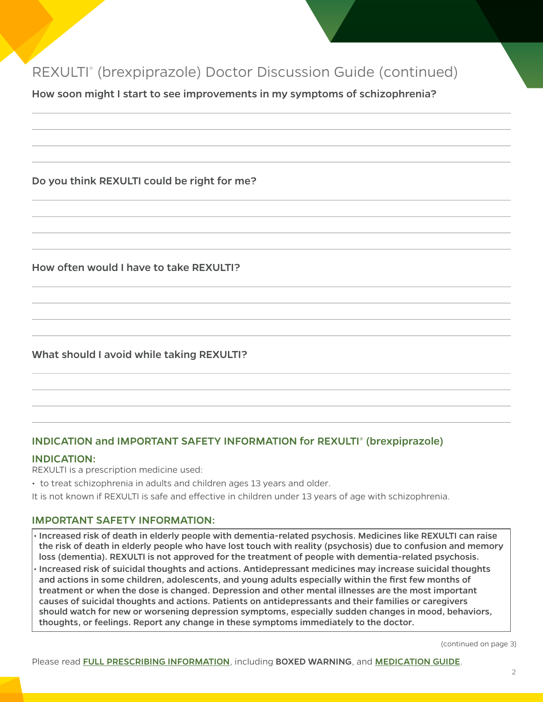# REXULTI® (brexpiprazole) Doctor Discussion Guide (continued)

How soon might I start to see improvements in my symptoms of schizophrenia?

### Do you think REXULTI could be right for me?

How often would I have to take REXULTI?

# What should I avoid while taking REXULTI?

## INDICATION and IMPORTANT SAFETY INFORMATION for REXULTI® (brexpiprazole)

#### INDICATION:

REXULTI is a prescription medicine used:

• to treat schizophrenia in adults and children ages 13 years and older.

It is not known if REXULTI is safe and effective in children under 13 years of age with schizophrenia.

#### IMPORTANT SAFETY INFORMATION:

- Increased risk of death in elderly people with dementia-related psychosis. Medicines like REXULTI can raise the risk of death in elderly people who have lost touch with reality (psychosis) due to confusion and memory loss (dementia). REXULTI is not approved for the treatment of people with dementia-related psychosis.
- Increased risk of suicidal thoughts and actions. Antidepressant medicines may increase suicidal thoughts and actions in some children, adolescents, and young adults especially within the first few months of treatment or when the dose is changed. Depression and other mental illnesses are the most important causes of suicidal thoughts and actions. Patients on antidepressants and their families or caregivers should watch for new or worsening depression symptoms, especially sudden changes in mood, behaviors, thoughts, or feelings. Report any change in these symptoms immediately to the doctor.

(continued on page 3)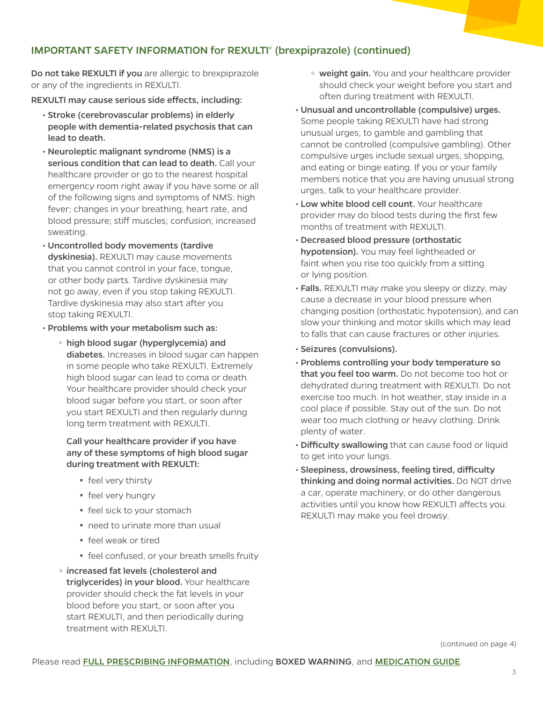## IMPORTANT SAFETY INFORMATION for REXULTI® (brexpiprazole) (continued)

Do not take REXULTI if you are allergic to brexpiprazole or any of the ingredients in REXULTI.

REXULTI may cause serious side effects, including:

- Stroke (cerebrovascular problems) in elderly people with dementia-related psychosis that can lead to death.
- Neuroleptic malignant syndrome (NMS) is a serious condition that can lead to death. Call your healthcare provider or go to the nearest hospital emergency room right away if you have some or all of the following signs and symptoms of NMS: high fever; changes in your breathing, heart rate, and blood pressure; stiff muscles; confusion; increased sweating.
- Uncontrolled body movements (tardive dyskinesia). REXULTI may cause movements that you cannot control in your face, tongue, or other body parts. Tardive dyskinesia may not go away, even if you stop taking REXULTI. Tardive dyskinesia may also start after you stop taking REXULTI.
- Problems with your metabolism such as:
	- high blood sugar (hyperglycemia) and diabetes. Increases in blood sugar can happen in some people who take REXULTI. Extremely high blood sugar can lead to coma or death. Your healthcare provider should check your blood sugar before you start, or soon after you start REXULTI and then regularly during long term treatment with REXULTI.

#### Call your healthcare provider if you have any of these symptoms of high blood sugar during treatment with REXULTI:

- **·** feel very thirsty
- **•** feel very hungry
- **·** feel sick to your stomach
- need to urinate more than usual
- feel weak or tired
- **·** feel confused, or your breath smells fruity
- <sup>o</sup> increased fat levels (cholesterol and triglycerides) in your blood. Your healthcare provider should check the fat levels in your blood before you start, or soon after you start REXULTI, and then periodically during treatment with REXULTI.
- o weight gain. You and your healthcare provider should check your weight before you start and often during treatment with REXULTI.
- Unusual and uncontrollable (compulsive) urges. Some people taking REXULTI have had strong unusual urges, to gamble and gambling that cannot be controlled (compulsive gambling). Other compulsive urges include sexual urges, shopping, and eating or binge eating. If you or your family members notice that you are having unusual strong urges, talk to your healthcare provider.
- Low white blood cell count. Your healthcare provider may do blood tests during the first few months of treatment with REXULTI.
- Decreased blood pressure (orthostatic hypotension). You may feel lightheaded or faint when you rise too quickly from a sitting or lying position.
- Falls. REXULTI may make you sleepy or dizzy, may cause a decrease in your blood pressure when changing position (orthostatic hypotension), and can slow your thinking and motor skills which may lead to falls that can cause fractures or other injuries.
- Seizures (convulsions).
- Problems controlling your body temperature so that you feel too warm. Do not become too hot or dehydrated during treatment with REXULTI. Do not exercise too much. In hot weather, stay inside in a cool place if possible. Stay out of the sun. Do not wear too much clothing or heavy clothing. Drink plenty of water.
- Difficulty swallowing that can cause food or liquid to get into your lungs.
- Sleepiness, drowsiness, feeling tired, difficulty thinking and doing normal activities. Do NOT drive a car, operate machinery, or do other dangerous activities until you know how REXULTI affects you. REXULTI may make you feel drowsy.

(continued on page 4)